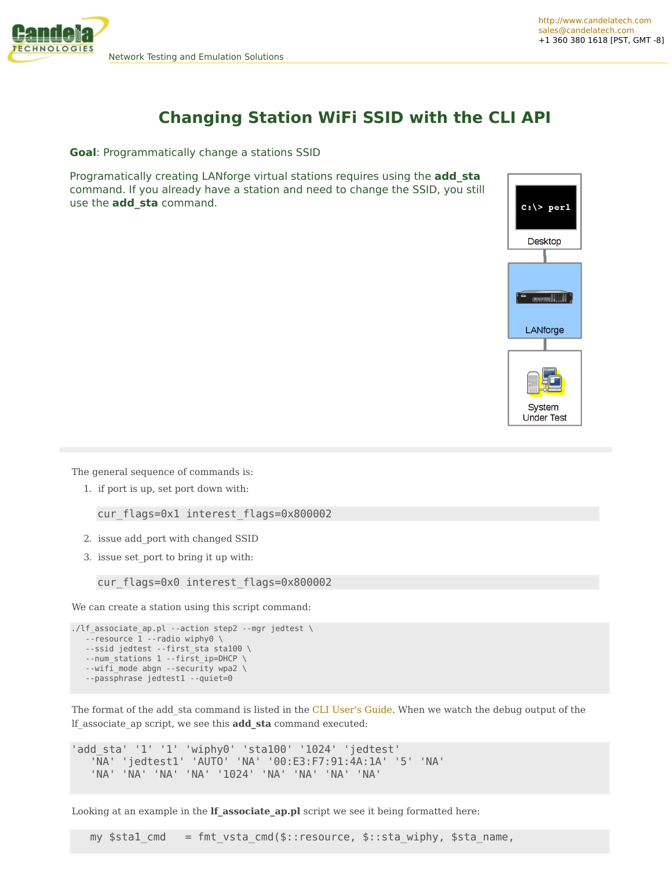

## **Changing Station WiFi SSID with the CLI API**

**Goal**: Programmatically change a stations SSID

Programatically creating LANforge virtual stations requires using the **add\_sta** command. If you already have a station and need to change the SSID, you still use the **add\_sta** command.



The general sequence of commands is:

1. if port is up, set port down with:

cur flags=0x1 interest flags=0x800002

- 2. issue add\_port with changed SSID
- 3. issue set\_port to bring it up with:

cur flags=0x0 interest flags=0x800002

We can create a station using this script command:

```
./lf_associate_ap.pl --action step2 --mgr jedtest \
--resource 1 --radio wiphy0 \
--ssid jedtest --first_sta sta100 \
--num stations 1 --first ip=DHCP \setminus--wifi_mode abgn --security wpa2 \
--passphrase jedtest1 --quiet=0
```
The format of the add sta command is listed in the CLI [User's](http://ctlocal/lfcli_ug.php#add_sta) Guide. When we watch the debug output of the lf\_associate\_ap script, we see this **add\_sta** command executed:

'add\_sta' '1' '1' 'wiphy0' 'sta100' '1024' 'jedtest' 'NA' 'jedtest1' 'AUTO' 'NA' '00:E3:F7:91:4A:1A' '5' 'NA' 'NA' 'NA' 'NA' 'NA' '1024' 'NA' 'NA' 'NA' 'NA'

Looking at an example in the **lf associate** ap.pl script we see it being formatted here:

my \$stal cmd = fmt vsta cmd(\$::resource, \$::sta wiphy, \$sta name,